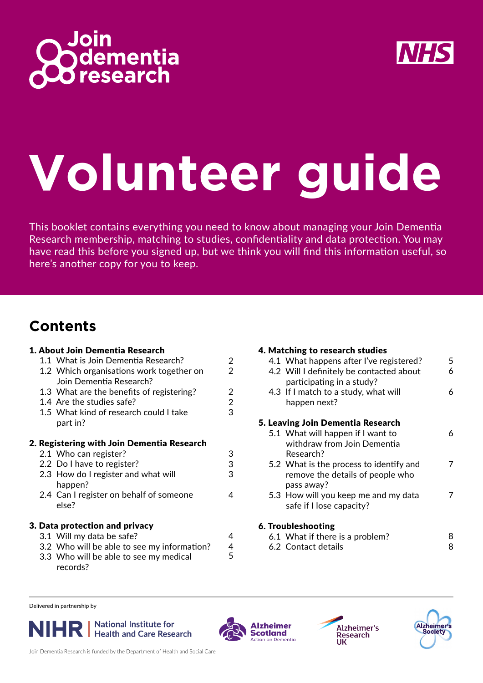



# **Volunteer guide**

This booklet contains everything you need to know about managing your Join Dementia Research membership, matching to studies, confidentiality and data protection. You may have read this before you signed up, but we think you will find this information useful, so here's another copy for you to keep.

#### **Contents**

|                                            |  | 1. About Join Dementia Research                                     |                |  |  |
|--------------------------------------------|--|---------------------------------------------------------------------|----------------|--|--|
|                                            |  | 1.1 What is Join Dementia Research?                                 | $\overline{2}$ |  |  |
|                                            |  | 1.2 Which organisations work together on<br>Join Dementia Research? | $\overline{2}$ |  |  |
|                                            |  | 1.3 What are the benefits of registering?                           | $\overline{2}$ |  |  |
|                                            |  | 1.4 Are the studies safe?                                           | $\overline{c}$ |  |  |
|                                            |  | 1.5 What kind of research could I take                              | 3              |  |  |
|                                            |  | part in?                                                            |                |  |  |
| 2. Registering with Join Dementia Research |  |                                                                     |                |  |  |
|                                            |  | 2.1 Who can register?                                               | 3              |  |  |
|                                            |  | 2.2 Do I have to register?                                          | 3              |  |  |
|                                            |  | 2.3 How do I register and what will<br>happen?                      | 3              |  |  |
|                                            |  | 2.4 Can I register on behalf of someone<br>else?                    | 4              |  |  |
| 3. Data protection and privacy             |  |                                                                     |                |  |  |
|                                            |  | 3.1 Will my data be safe?                                           | 4              |  |  |
|                                            |  | 3.2 Who will be able to see my information?                         | 4              |  |  |
|                                            |  | 3.3 Who will be able to see my medical<br>records?                  | 5              |  |  |

#### 4. Matching to research studies

|                    |  | 4.1 What happens after I've registered?  | 5 |  |  |  |
|--------------------|--|------------------------------------------|---|--|--|--|
|                    |  | 4.2 Will I definitely be contacted about | 6 |  |  |  |
|                    |  | participating in a study?                |   |  |  |  |
|                    |  | 4.3 If I match to a study, what will     | 6 |  |  |  |
|                    |  | happen next?                             |   |  |  |  |
|                    |  | 5. Leaving Join Dementia Research        |   |  |  |  |
|                    |  | 5.1 What will happen if I want to        | 6 |  |  |  |
|                    |  | withdraw from Join Dementia              |   |  |  |  |
|                    |  | Research?                                |   |  |  |  |
|                    |  | 5.2 What is the process to identify and  | 7 |  |  |  |
|                    |  | remove the details of people who         |   |  |  |  |
|                    |  | pass away?                               |   |  |  |  |
|                    |  | 5.3 How will you keep me and my data     | 7 |  |  |  |
|                    |  | safe if I lose capacity?                 |   |  |  |  |
| 6. Troubleshooting |  |                                          |   |  |  |  |
|                    |  | 6.1 What if there is a problem?          | 8 |  |  |  |
|                    |  | 6.2 Contact details                      | 8 |  |  |  |

6.2 Contact details

Delivered in partnership by









Join Dementia Research is funded by the Department of Health and Social Care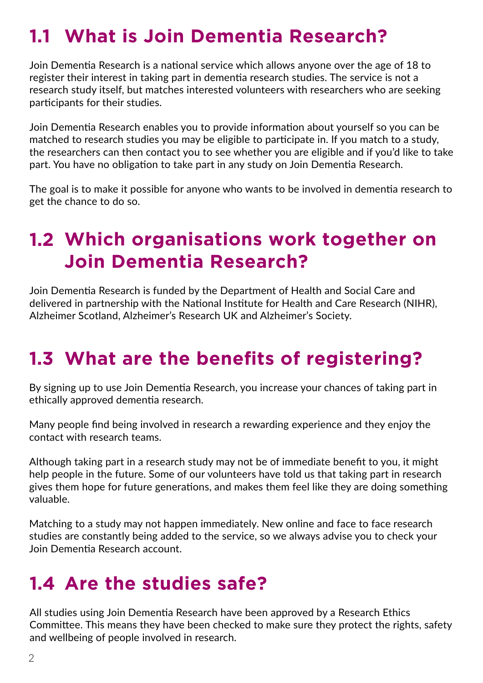#### **1.1 What is Join Dementia Research?**

Join Dementia Research is a national service which allows anyone over the age of 18 to register their interest in taking part in dementia research studies. The service is not a research study itself, but matches interested volunteers with researchers who are seeking participants for their studies.

Join Dementia Research enables you to provide information about yourself so you can be matched to research studies you may be eligible to participate in. If you match to a study, the researchers can then contact you to see whether you are eligible and if you'd like to take part. You have no obligation to take part in any study on Join Dementia Research.

The goal is to make it possible for anyone who wants to be involved in dementia research to get the chance to do so.

#### **1.2 Which organisations work together on Join Dementia Research?**

Join Dementia Research is funded by the Department of Health and Social Care and delivered in partnership with the National Institute for Health and Care Research (NIHR), Alzheimer Scotland, Alzheimer's Research UK and Alzheimer's Society.

#### **1.3 What are the benefits of registering?**

By signing up to use Join Dementia Research, you increase your chances of taking part in ethically approved dementia research.

Many people find being involved in research a rewarding experience and they enjoy the contact with research teams.

Although taking part in a research study may not be of immediate benefit to you, it might help people in the future. Some of our volunteers have told us that taking part in research gives them hope for future generations, and makes them feel like they are doing something valuable.

Matching to a study may not happen immediately. New online and face to face research studies are constantly being added to the service, so we always advise you to check your Join Dementia Research account.

#### **1.4 Are the studies safe?**

All studies using Join Dementia Research have been approved by a Research Ethics Committee. This means they have been checked to make sure they protect the rights, safety and wellbeing of people involved in research.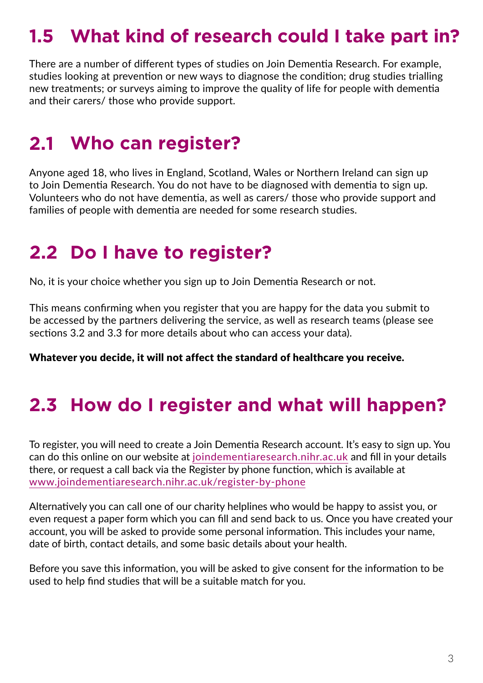### **1.5 What kind of research could I take part in?**

There are a number of different types of studies on Join Dementia Research. For example, studies looking at prevention or new ways to diagnose the condition; drug studies trialling new treatments; or surveys aiming to improve the quality of life for people with dementia and their carers/ those who provide support.

#### **2.1 Who can register?**

Anyone aged 18, who lives in England, Scotland, Wales or Northern Ireland can sign up to Join Dementia Research. You do not have to be diagnosed with dementia to sign up. Volunteers who do not have dementia, as well as carers/ those who provide support and families of people with dementia are needed for some research studies.

#### **2.2 Do I have to register?**

No, it is your choice whether you sign up to Join Dementia Research or not.

This means confirming when you register that you are happy for the data you submit to be accessed by the partners delivering the service, as well as research teams (please see sections 3.2 and 3.3 for more details about who can access your data).

Whatever you decide, it will not affect the standard of healthcare you receive.

#### **2.3 How do I register and what will happen?**

To register, you will need to create a Join Dementia Research account. It's easy to sign up. You can do this online on our website at joindementiaresearch.nihr.ac.uk and fill in your details there, or request a call back via the Register by phone function, which is available at www.joindementiaresearch.nihr.ac.uk/register-by-phone

Alternatively you can call one of our charity helplines who would be happy to assist you, or even request a paper form which you can fill and send back to us. Once you have created your account, you will be asked to provide some personal information. This includes your name, date of birth, contact details, and some basic details about your health.

Before you save this information, you will be asked to give consent for the information to be used to help find studies that will be a suitable match for you.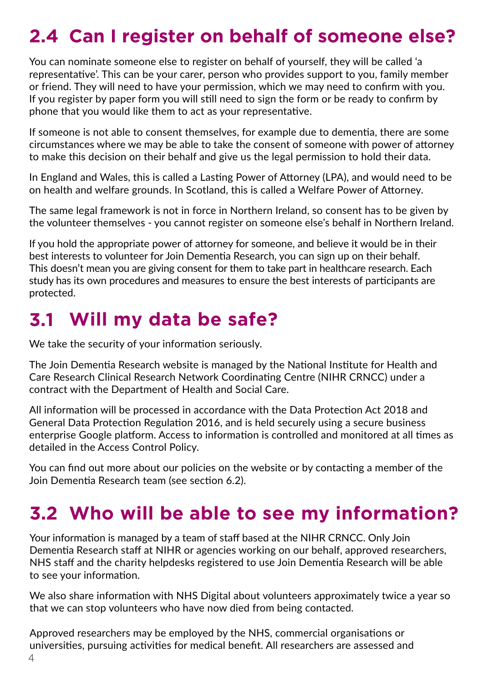## **2.4 Can I register on behalf of someone else?**

You can nominate someone else to register on behalf of yourself, they will be called 'a representative'. This can be your carer, person who provides support to you, family member or friend. They will need to have your permission, which we may need to confirm with you. If you register by paper form you will still need to sign the form or be ready to confirm by phone that you would like them to act as your representative.

If someone is not able to consent themselves, for example due to dementia, there are some circumstances where we may be able to take the consent of someone with power of attorney to make this decision on their behalf and give us the legal permission to hold their data.

In England and Wales, this is called a Lasting Power of Attorney (LPA), and would need to be on health and welfare grounds. In Scotland, this is called a Welfare Power of Attorney.

The same legal framework is not in force in Northern Ireland, so consent has to be given by the volunteer themselves - you cannot register on someone else's behalf in Northern Ireland.

If you hold the appropriate power of attorney for someone, and believe it would be in their best interests to volunteer for Join Dementia Research, you can sign up on their behalf. This doesn't mean you are giving consent for them to take part in healthcare research. Each study has its own procedures and measures to ensure the best interests of participants are protected.

#### **3.1 Will my data be safe?**

We take the security of your information seriously.

The Join Dementia Research website is managed by the National Institute for Health and Care Research Clinical Research Network Coordinating Centre (NIHR CRNCC) under a contract with the Department of Health and Social Care.

All information will be processed in accordance with the Data Protection Act 2018 and General Data Protection Regulation 2016, and is held securely using a secure business enterprise Google platform. Access to information is controlled and monitored at all times as detailed in the Access Control Policy.

You can find out more about our policies on the website or by contacting a member of the Join Dementia Research team (see section 6.2).

## **3.2 Who will be able to see my information?**

Your information is managed by a team of staff based at the NIHR CRNCC. Only Join Dementia Research staff at NIHR or agencies working on our behalf, approved researchers, NHS staff and the charity helpdesks registered to use Join Dementia Research will be able to see your information.

We also share information with NHS Digital about volunteers approximately twice a year so that we can stop volunteers who have now died from being contacted.

Approved researchers may be employed by the NHS, commercial organisations or universities, pursuing activities for medical benefit. All researchers are assessed and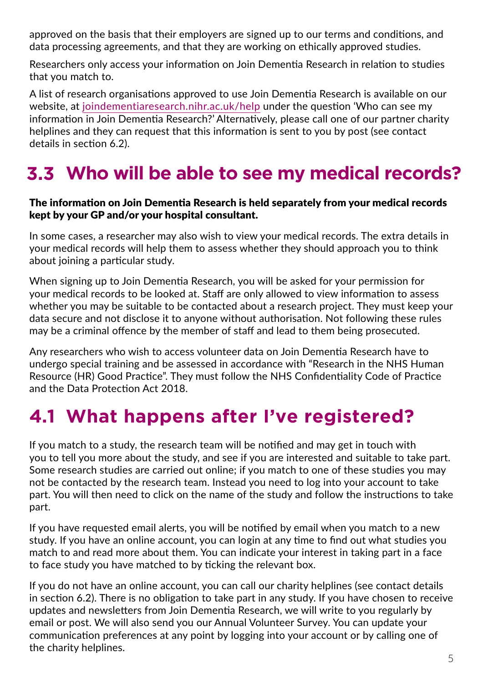approved on the basis that their employers are signed up to our terms and conditions, and data processing agreements, and that they are working on ethically approved studies.

Researchers only access your information on Join Dementia Research in relation to studies that you match to.

A list of research organisations approved to use Join Dementia Research is available on our website, at joindementiaresearch.nihr.ac.uk/help under the question 'Who can see my information in Join Dementia Research?' Alternatively, please call one of our partner charity helplines and they can request that this information is sent to you by post (see contact details in section 6.2).

### **3.3 Who will be able to see my medical records?**

#### The information on Join Dementia Research is held separately from your medical records kept by your GP and/or your hospital consultant.

In some cases, a researcher may also wish to view your medical records. The extra details in your medical records will help them to assess whether they should approach you to think about joining a particular study.

When signing up to Join Dementia Research, you will be asked for your permission for your medical records to be looked at. Staff are only allowed to view information to assess whether you may be suitable to be contacted about a research project. They must keep your data secure and not disclose it to anyone without authorisation. Not following these rules may be a criminal offence by the member of staff and lead to them being prosecuted.

Any researchers who wish to access volunteer data on Join Dementia Research have to undergo special training and be assessed in accordance with "Research in the NHS Human Resource (HR) Good Practice". They must follow the NHS Confidentiality Code of Practice and the Data Protection Act 2018.

#### **4.1 What happens after I've registered?**

If you match to a study, the research team will be notified and may get in touch with you to tell you more about the study, and see if you are interested and suitable to take part. Some research studies are carried out online; if you match to one of these studies you may not be contacted by the research team. Instead you need to log into your account to take part. You will then need to click on the name of the study and follow the instructions to take part.

If you have requested email alerts, you will be notified by email when you match to a new study. If you have an online account, you can login at any time to find out what studies you match to and read more about them. You can indicate your interest in taking part in a face to face study you have matched to by ticking the relevant box.

If you do not have an online account, you can call our charity helplines (see contact details in section 6.2). There is no obligation to take part in any study. If you have chosen to receive updates and newsletters from Join Dementia Research, we will write to you regularly by email or post. We will also send you our Annual Volunteer Survey. You can update your communication preferences at any point by logging into your account or by calling one of the charity helplines.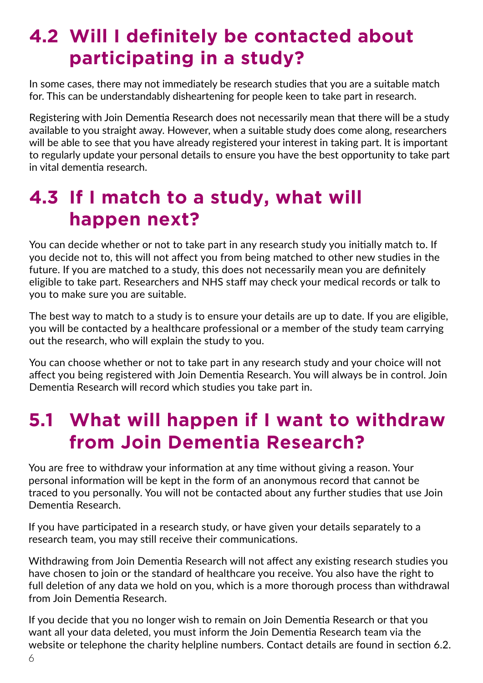#### **4.2 Will I definitely be contacted about participating in a study?**

In some cases, there may not immediately be research studies that you are a suitable match for. This can be understandably disheartening for people keen to take part in research.

Registering with Join Dementia Research does not necessarily mean that there will be a study available to you straight away. However, when a suitable study does come along, researchers will be able to see that you have already registered your interest in taking part. It is important to regularly update your personal details to ensure you have the best opportunity to take part in vital dementia research.

#### **4.3 If I match to a study, what will happen next?**

You can decide whether or not to take part in any research study you initially match to. If you decide not to, this will not affect you from being matched to other new studies in the future. If you are matched to a study, this does not necessarily mean you are definitely eligible to take part. Researchers and NHS staff may check your medical records or talk to you to make sure you are suitable.

The best way to match to a study is to ensure your details are up to date. If you are eligible, you will be contacted by a healthcare professional or a member of the study team carrying out the research, who will explain the study to you.

You can choose whether or not to take part in any research study and your choice will not affect you being registered with Join Dementia Research. You will always be in control. Join Dementia Research will record which studies you take part in.

#### **5.1 What will happen if I want to withdraw from Join Dementia Research?**

You are free to withdraw your information at any time without giving a reason. Your personal information will be kept in the form of an anonymous record that cannot be traced to you personally. You will not be contacted about any further studies that use Join Dementia Research.

If you have participated in a research study, or have given your details separately to a research team, you may still receive their communications.

Withdrawing from Join Dementia Research will not affect any existing research studies you have chosen to join or the standard of healthcare you receive. You also have the right to full deletion of any data we hold on you, which is a more thorough process than withdrawal from Join Dementia Research.

If you decide that you no longer wish to remain on Join Dementia Research or that you want all your data deleted, you must inform the Join Dementia Research team via the website or telephone the charity helpline numbers. Contact details are found in section 6.2.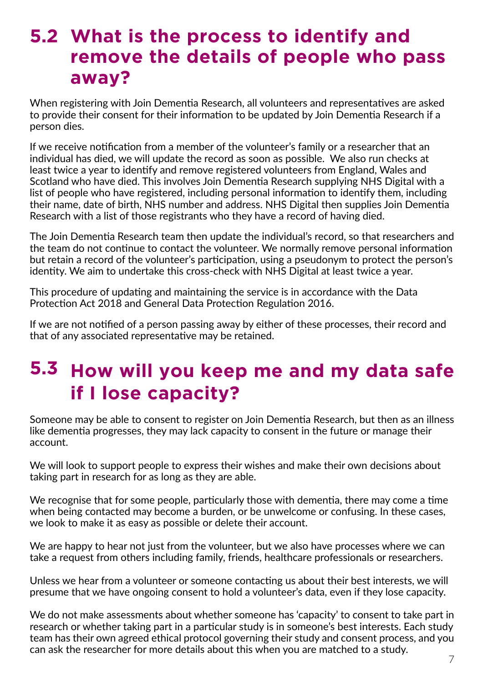#### **5.2 What is the process to identify and remove the details of people who pass away?**

When registering with Join Dementia Research, all volunteers and representatives are asked to provide their consent for their information to be updated by Join Dementia Research if a person dies.

If we receive notification from a member of the volunteer's family or a researcher that an individual has died, we will update the record as soon as possible. We also run checks at least twice a year to identify and remove registered volunteers from England, Wales and Scotland who have died. This involves Join Dementia Research supplying NHS Digital with a list of people who have registered, including personal information to identify them, including their name, date of birth, NHS number and address. NHS Digital then supplies Join Dementia Research with a list of those registrants who they have a record of having died.

The Join Dementia Research team then update the individual's record, so that researchers and the team do not continue to contact the volunteer. We normally remove personal information but retain a record of the volunteer's participation, using a pseudonym to protect the person's identity. We aim to undertake this cross-check with NHS Digital at least twice a year.

This procedure of updating and maintaining the service is in accordance with the Data Protection Act 2018 and General Data Protection Regulation 2016.

If we are not notified of a person passing away by either of these processes, their record and that of any associated representative may be retained.

## **5.3 How will you keep me and my data safe if I lose capacity?**

Someone may be able to consent to register on Join Dementia Research, but then as an illness like dementia progresses, they may lack capacity to consent in the future or manage their account.

We will look to support people to express their wishes and make their own decisions about taking part in research for as long as they are able.

We recognise that for some people, particularly those with dementia, there may come a time when being contacted may become a burden, or be unwelcome or confusing. In these cases, we look to make it as easy as possible or delete their account.

We are happy to hear not just from the volunteer, but we also have processes where we can take a request from others including family, friends, healthcare professionals or researchers.

Unless we hear from a volunteer or someone contacting us about their best interests, we will presume that we have ongoing consent to hold a volunteer's data, even if they lose capacity.

We do not make assessments about whether someone has 'capacity' to consent to take part in research or whether taking part in a particular study is in someone's best interests. Each study team has their own agreed ethical protocol governing their study and consent process, and you can ask the researcher for more details about this when you are matched to a study.